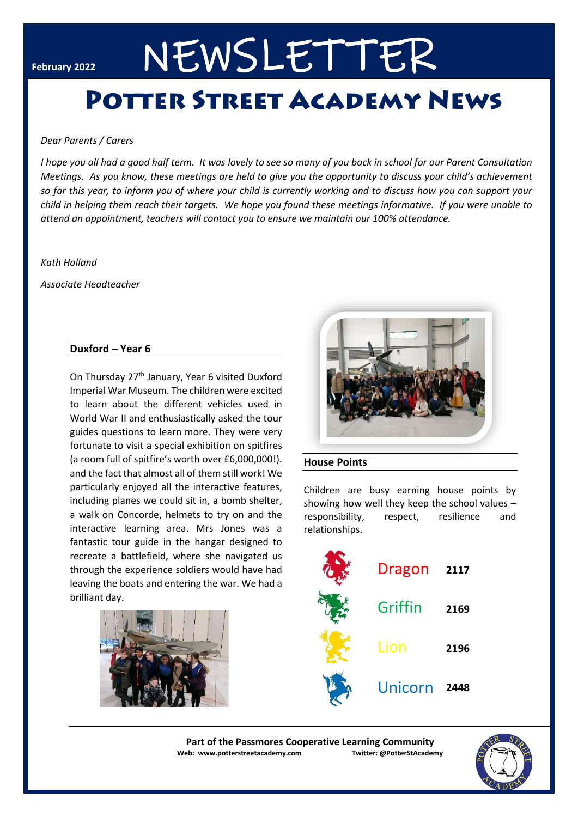# February 2022 NEWSLETTER

# **POTTER STREET ACADEMY NEWS**

#### *Dear Parents / Carers*

*I hope you all had a good half term. It was lovely to see so many of you back in school for our Parent Consultation Meetings. As you know, these meetings are held to give you the opportunity to discuss your child's achievement so far this year, to inform you of where your child is currently working and to discuss how you can support your child in helping them reach their targets. We hope you found these meetings informative. If you were unable to attend an appointment, teachers will contact you to ensure we maintain our 100% attendance.*

#### *Kath Holland*

*Associate Headteacher*

#### **Duxford – Year 6**

On Thursday 27th January, Year 6 visited Duxford Imperial War Museum. The children were excited to learn about the different vehicles used in World War II and enthusiastically asked the tour guides questions to learn more. They were very fortunate to visit a special exhibition on spitfires (a room full of spitfire's worth over £6,000,000!). and the fact that almost all of them still work! We particularly enjoyed all the interactive features, including planes we could sit in, a bomb shelter, a walk on Concorde, helmets to try on and the interactive learning area. Mrs Jones was a fantastic tour guide in the hangar designed to recreate a battlefield, where she navigated us through the experience soldiers would have had leaving the boats and entering the war. We had a brilliant day.





#### **House Points**

Children are busy earning house points by showing how well they keep the school values – responsibility, respect, resilience and relationships.

| Dragon  | 2117 |
|---------|------|
| Griffin | 2169 |
| Lion    | 2196 |
| Unicorn | 2448 |

**Part of the Passmores Cooperative Learning Community Web: www.potterstreetacademy.com Twitter: @PotterStAcademy**

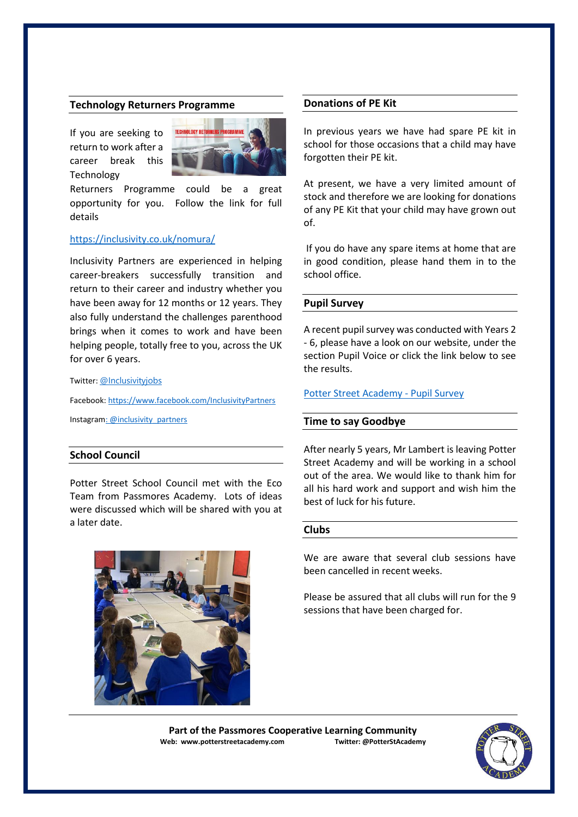#### **Technology Returners Programme**

If you are seeking to return to work after a career break this Technology



Returners Programme could be a great opportunity for you. Follow the link for full details

#### <https://inclusivity.co.uk/nomura/>

Inclusivity Partners are experienced in helping career-breakers successfully transition and return to their career and industry whether you have been away for 12 months or 12 years. They also fully understand the challenges parenthood brings when it comes to work and have been helping people, totally free to you, across the UK for over 6 years.

Twitter: [@Inclusivityjobs](about:blank)

Facebook[: https://www.facebook.com/InclusivityPartners](about:blank) Instagra[m: @inclusivity\\_partners](about:blank)

#### **School Council**

Potter Street School Council met with the Eco Team from Passmores Academy. Lots of ideas were discussed which will be shared with you at a later date.



#### **Donations of PE Kit**

In previous years we have had spare PE kit in school for those occasions that a child may have forgotten their PE kit.

At present, we have a very limited amount of stock and therefore we are looking for donations of any PE Kit that your child may have grown out of.

If you do have any spare items at home that are in good condition, please hand them in to the school office.

#### **Pupil Survey**

A recent pupil survey was conducted with Years 2 - 6, please have a look on our website, under the section Pupil Voice or click the link below to see the results.

#### [Potter Street Academy -](https://www.potterstreetacademy.com/page/?title=Pupil+Survey&pid=95) Pupil Survey

#### **Time to say Goodbye**

After nearly 5 years, Mr Lambert is leaving Potter Street Academy and will be working in a school out of the area. We would like to thank him for all his hard work and support and wish him the best of luck for his future.

#### **Clubs**

We are aware that several club sessions have been cancelled in recent weeks.

Please be assured that all clubs will run for the 9 sessions that have been charged for.